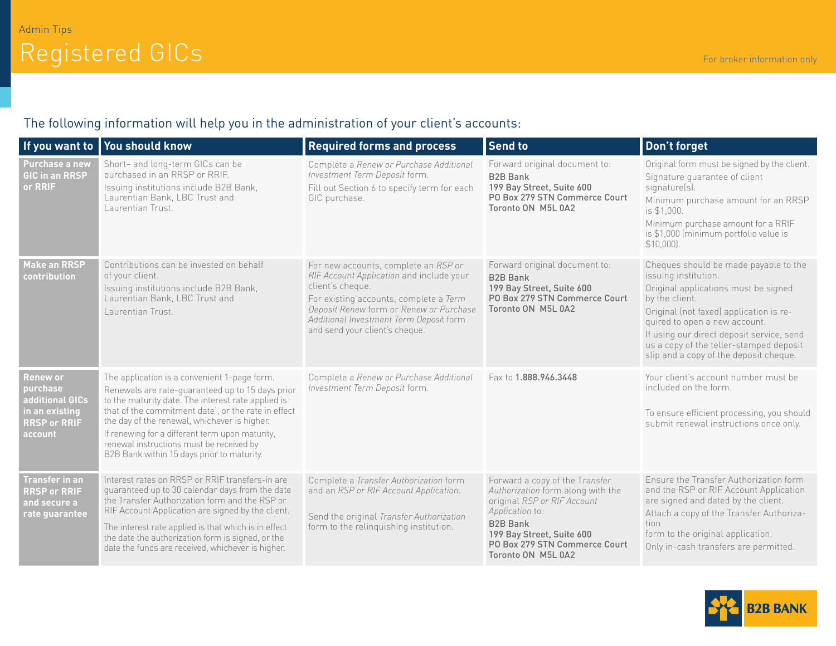## The following information will help you in the administration of your client's accounts:

|                                                                                                    | If you want to You should know                                                                                                                                                                                                                                                                                                                                                                                          | <b>Required forms and process</b>                                                                                                                                                                                                                                      | Send to                                                                                                                                                                                                                      | Don't forget                                                                                                                                                                                                                                                                                                                          |
|----------------------------------------------------------------------------------------------------|-------------------------------------------------------------------------------------------------------------------------------------------------------------------------------------------------------------------------------------------------------------------------------------------------------------------------------------------------------------------------------------------------------------------------|------------------------------------------------------------------------------------------------------------------------------------------------------------------------------------------------------------------------------------------------------------------------|------------------------------------------------------------------------------------------------------------------------------------------------------------------------------------------------------------------------------|---------------------------------------------------------------------------------------------------------------------------------------------------------------------------------------------------------------------------------------------------------------------------------------------------------------------------------------|
| <b>Purchase a new</b><br><b>GIC in an RRSP</b><br>or RRIF                                          | Short- and long-term GICs can be<br>purchased in an RRSP or RRIF.<br>Issuing institutions include B2B Bank,<br>Laurentian Bank, LBC Trust and<br>Laurentian Trust.                                                                                                                                                                                                                                                      | Complete a Renew or Purchase Additional<br>Investment Term Deposit form.<br>Fill out Section 6 to specify term for each<br>GIC purchase.                                                                                                                               | Forward original document to:<br><b>B2B Bank</b><br>199 Bay Street, Suite 600<br>PO Box 279 STN Commerce Court<br>Toronto ON M5L 0A2                                                                                         | Original form must be signed by the client.<br>Signature quarantee of client<br>signature(s).<br>Minimum purchase amount for an RRSP<br>is \$1,000.<br>Minimum purchase amount for a RRIF<br>is \$1,000 (minimum portfolio value is<br>\$10,000]                                                                                      |
| <b>Make an RRSP</b><br>contribution                                                                | Contributions can be invested on behalf<br>of your client.<br>Issuing institutions include B2B Bank,<br>Laurentian Bank, LBC Trust and<br>Laurentian Trust.                                                                                                                                                                                                                                                             | For new accounts, complete an RSP or<br>RIF Account Application and include your<br>client's cheque.<br>For existing accounts, complete a Term<br>Deposit Renew form or Renew or Purchase<br>Additional Investment Term Deposit form<br>and send your client's cheque. | Forward original document to:<br><b>B2B Bank</b><br>199 Bay Street, Suite 600<br>PO Box 279 STN Commerce Court<br>Toronto ON M5L 0A2                                                                                         | Cheques should be made payable to the<br>issuing institution.<br>Original applications must be signed<br>by the client.<br>Original (not faxed) application is re-<br>quired to open a new account.<br>If using our direct deposit service, send<br>us a copy of the teller-stamped deposit<br>slip and a copy of the deposit cheque. |
| <b>Renew or</b><br>purchase<br>additional GICs<br>in an existing<br><b>RRSP or RRIF</b><br>account | The application is a convenient 1-page form.<br>Renewals are rate-quaranteed up to 15 days prior<br>to the maturity date. The interest rate applied is<br>that of the commitment date <sup>1</sup> , or the rate in effect<br>the day of the renewal, whichever is higher.<br>If renewing for a different term upon maturity,<br>renewal instructions must be received by<br>B2B Bank within 15 days prior to maturity. | Complete a Renew or Purchase Additional<br>Investment Term Deposit form.                                                                                                                                                                                               | Fax to 1.888.946.3448                                                                                                                                                                                                        | Your client's account number must be<br>included on the form.<br>To ensure efficient processing, you should<br>submit renewal instructions once only.                                                                                                                                                                                 |
| Transfer in an<br><b>RRSP or RRIF</b><br>and secure a<br>rate guarantee                            | Interest rates on RRSP or RRIF transfers-in are<br>quaranteed up to 30 calendar days from the date<br>the Transfer Authorization form and the RSP or<br>RIF Account Application are signed by the client.<br>The interest rate applied is that which is in effect<br>the date the authorization form is signed, or the<br>date the funds are received, whichever is higher.                                             | Complete a Transfer Authorization form<br>and an RSP or RIF Account Application.<br>Send the original Transfer Authorization<br>form to the relinquishing institution.                                                                                                 | Forward a copy of the Transfer<br>Authorization form along with the<br>original RSP or RIF Account<br>Application to:<br><b>B2B Bank</b><br>199 Bay Street, Suite 600<br>PO Box 279 STN Commerce Court<br>Toronto ON M5L 0A2 | Ensure the Transfer Authorization form<br>and the RSP or RIF Account Application<br>are signed and dated by the client.<br>Attach a copy of the Transfer Authoriza-<br>tion<br>form to the original application.<br>Only in-cash transfers are permitted.                                                                             |